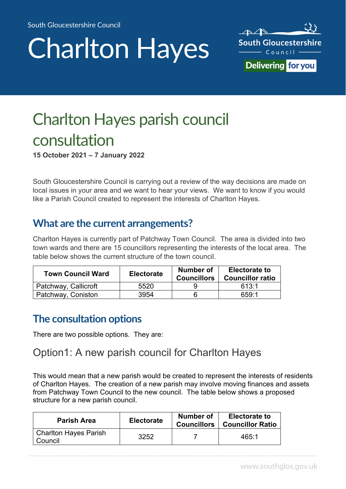# Charlton Hayes



## Charlton Hayes parish council consultation

**15 October 2021 – 7 January 2022** 

South Gloucestershire Council is carrying out a review of the way decisions are made on local issues in your area and we want to hear your views. We want to know if you would like a Parish Council created to represent the interests of Charlton Hayes.

## **What are the current arrangements?**

Charlton Hayes is currently part of Patchway Town Council. The area is divided into two town wards and there are 15 councillors representing the interests of the local area. The table below shows the current structure of the town council.

| <b>Town Council Ward</b> | <b>Electorate</b> | Number of<br><b>Councillors</b> | <b>Electorate to</b><br><b>Councillor ratio</b> |
|--------------------------|-------------------|---------------------------------|-------------------------------------------------|
| Patchway, Callicroft     | 5520              |                                 | 613.1                                           |
| Patchway, Coniston       | 3954              |                                 | 659.1                                           |

## **The consultation options**

There are two possible options. They are:

## Option1: A new parish council for Charlton Hayes

This would mean that a new parish would be created to represent the interests of residents of Charlton Hayes. The creation of a new parish may involve moving finances and assets from Patchway Town Council to the new council. The table below shows a proposed structure for a new parish council.

| <b>Parish Area</b>               | <b>Electorate</b> | Number of<br><b>Councillors</b> | <b>Electorate to</b><br><b>Councillor Ratio</b> |
|----------------------------------|-------------------|---------------------------------|-------------------------------------------------|
| Charlton Hayes Parish<br>Council | 3252              |                                 | 465:1                                           |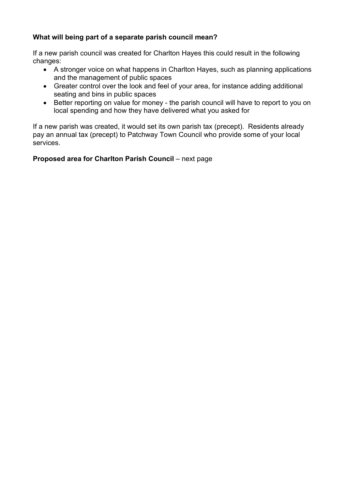#### **What will being part of a separate parish council mean?**

If a new parish council was created for Charlton Hayes this could result in the following changes:

- A stronger voice on what happens in Charlton Hayes, such as planning applications and the management of public spaces
- Greater control over the look and feel of your area, for instance adding additional seating and bins in public spaces
- Better reporting on value for money the parish council will have to report to you on local spending and how they have delivered what you asked for

If a new parish was created, it would set its own parish tax (precept). Residents already pay an annual tax (precept) to Patchway Town Council who provide some of your local services.

#### **Proposed area for Charlton Parish Council** – next page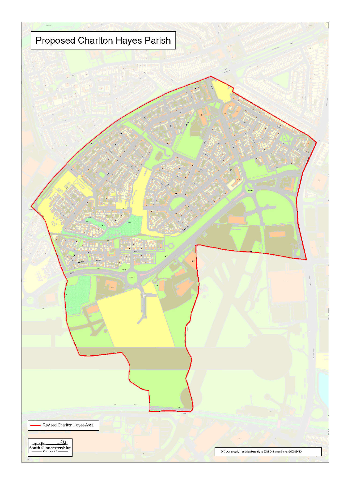